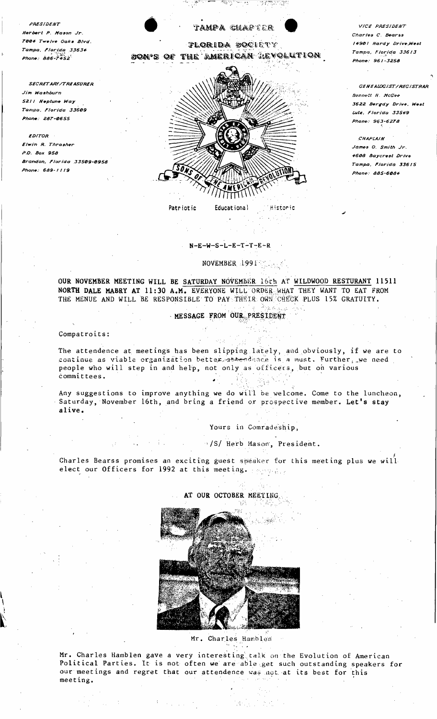PRESIDENT Herbert P. Mason Jr. .<br>1004 Twelve Oaks Blvd. Tampa, Florida 33634  $Phone \cdot \hat{A} \hat{A} \hat{B} \cdot \hat{Z} \hat{A} \hat{S}$ 

**SECRETARY/TREASURER** Jim Washburn 5211 Neptune Way Tampa, Florida 33609 Phone: 287-0655

**EDITOR** Elwin R. Thrasher P.O. Box 958 Brandon, Florida 33509-0958 Phone: 689-1119



## $N-E-W-S-L-E-T-T-E-R$

# NOVEMBER 1991 Marshall

OUR NOVEMBER MEETING WILL BE SATURDAY NOVEMBER 16th AT WILDWOOD RESTURANT 11511 NORTH DALE MABRY AT 11:30 A.M. EVERYONE WILL ORDER WHAT THEY WANT TO EAT FROM THE MENUE AND WILL BE RESPONSIBLE TO PAY THEIR OWN CHECK PLUS 15% GRATUITY.

MESSAGE FROM OUR PRESIDENT

Compatroits:

The attendence at meetings has been slipping lately, and obviously, if we are to continue as viable organization better attendance is a must. Further, we need people who will step in and help, not only as officers, but on various committees.  $\hat{u}$ 

Any suggestions to improve anything we do will be welcome. Come to the luncheon, Saturday, November 16th, and bring a friend or prospective member. Let's stay alive.

Yours in Comradeship.

"/S/ Herb Mason, President.

Charles Bearss promises an exciting guest speaker for this meeting plus we will elect our Officers for 1992 at this meeting. Approach



## AT OUR OCTOBER MEETING.

Mr. Charles Hamblen

Mr. Charles Hamblen gave a very interesting talk on the Evolution of American Political Parties. It is not often we are able get such outstanding speakers for our meetings and regret that our attendence was not at its best for this meeting.

VICE PRESIDENT Charles C. Bearss 14901 Hardy Drive, West Tampa, Florida 33613 Phone: 961-3258

GENEALOGIST/REGISTRAP Bennett H. McGee 3622 Bergdy Drive, West Lutz, Florida 33549 Phone: 963-6278

CHAPLAIN James O. Smith Jr. *4608 Baycrest Drive* Tampa, Florida 33615 *Phone: 885-6084*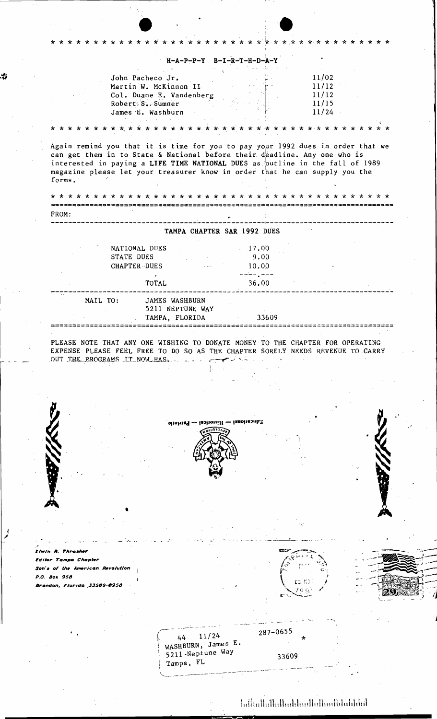|                                                                                                                                                                                                                                                                                                                                        |                                                                                                                |                                    | $H-A-P-P-Y$ $B-I-R-T-H-D-A-Y$ |                             |        |                                           |  |
|----------------------------------------------------------------------------------------------------------------------------------------------------------------------------------------------------------------------------------------------------------------------------------------------------------------------------------------|----------------------------------------------------------------------------------------------------------------|------------------------------------|-------------------------------|-----------------------------|--------|-------------------------------------------|--|
|                                                                                                                                                                                                                                                                                                                                        | John Pacheco Jr.<br>Martin W. McKinnon II<br>Col. Duane E. Vandenberg<br>Robert S. Sumner<br>James E. Washburn |                                    |                               |                             |        | 11/02<br>11/12<br>11/12<br>11/15<br>11/24 |  |
|                                                                                                                                                                                                                                                                                                                                        |                                                                                                                |                                    |                               |                             |        |                                           |  |
| Again remind you that it is time for you to pay your 1992 dues in order that we<br>can get them in to State & National before their deadline. Any one who is<br>interested in paying a LIFE TIME NATIONAL DUES as outline in the fall of 1989<br>magazine please let your treasurer know in order that he can supply you the<br>forms. |                                                                                                                |                                    |                               |                             |        |                                           |  |
|                                                                                                                                                                                                                                                                                                                                        |                                                                                                                |                                    |                               |                             |        |                                           |  |
| FROM:                                                                                                                                                                                                                                                                                                                                  |                                                                                                                |                                    |                               |                             |        |                                           |  |
|                                                                                                                                                                                                                                                                                                                                        |                                                                                                                |                                    |                               | TAMPA CHAPTER SAR 1992 DUES |        |                                           |  |
|                                                                                                                                                                                                                                                                                                                                        | NATIONAL DUES<br><b>STATE DUES</b><br>CHAPTER DUES                                                             |                                    | $\sim 100$ km s $^{-1}$       | 17.00<br>9.00<br>10.00      |        |                                           |  |
|                                                                                                                                                                                                                                                                                                                                        | $\sigma$ .<br>TOTAL                                                                                            |                                    |                               | 36.00                       |        |                                           |  |
| MAIL TO:                                                                                                                                                                                                                                                                                                                               |                                                                                                                | JAMES WASHBURN                     |                               |                             |        |                                           |  |
|                                                                                                                                                                                                                                                                                                                                        |                                                                                                                | 5211 NEPTUNE WAY<br>TAMPA, FLORIDA |                               | 33609                       |        |                                           |  |
|                                                                                                                                                                                                                                                                                                                                        |                                                                                                                |                                    |                               |                             |        |                                           |  |
|                                                                                                                                                                                                                                                                                                                                        |                                                                                                                |                                    |                               |                             |        |                                           |  |
|                                                                                                                                                                                                                                                                                                                                        |                                                                                                                |                                    |                               |                             |        |                                           |  |
|                                                                                                                                                                                                                                                                                                                                        |                                                                                                                | Histories — Patriotic              |                               | <b>ISBON ROUDS!</b>         |        |                                           |  |
|                                                                                                                                                                                                                                                                                                                                        |                                                                                                                |                                    |                               |                             |        |                                           |  |
|                                                                                                                                                                                                                                                                                                                                        |                                                                                                                |                                    |                               |                             |        |                                           |  |
|                                                                                                                                                                                                                                                                                                                                        |                                                                                                                |                                    |                               |                             |        |                                           |  |
| PLEASE NOTE THAT ANY ONE WISHING TO DONATE MONEY TO THE CHAPTER FOR OPERATING<br>EXPENSE PLEASE FEEL FREE TO DO SO AS THE CHAPTER SORELY NEEDS REVENUE TO CARRY<br>OUT THE PROGRAMS IT NOW HAS.                                                                                                                                        |                                                                                                                |                                    |                               |                             |        |                                           |  |
| Elwin A. Thrasher                                                                                                                                                                                                                                                                                                                      |                                                                                                                |                                    |                               |                             |        |                                           |  |
|                                                                                                                                                                                                                                                                                                                                        |                                                                                                                |                                    |                               |                             |        |                                           |  |
|                                                                                                                                                                                                                                                                                                                                        |                                                                                                                |                                    |                               |                             |        |                                           |  |
|                                                                                                                                                                                                                                                                                                                                        |                                                                                                                |                                    |                               |                             | CJ ND. | O C                                       |  |
| Editor Tampa Chapter<br>Son's of the American Revolution<br>P.O. Box 958<br>Brandon, Florida 33509-0958                                                                                                                                                                                                                                |                                                                                                                |                                    |                               |                             |        |                                           |  |
|                                                                                                                                                                                                                                                                                                                                        |                                                                                                                |                                    |                               |                             |        |                                           |  |

\$

لمر

 $\label{prop:nonlocal} \hbox{In the Hall solution}.$